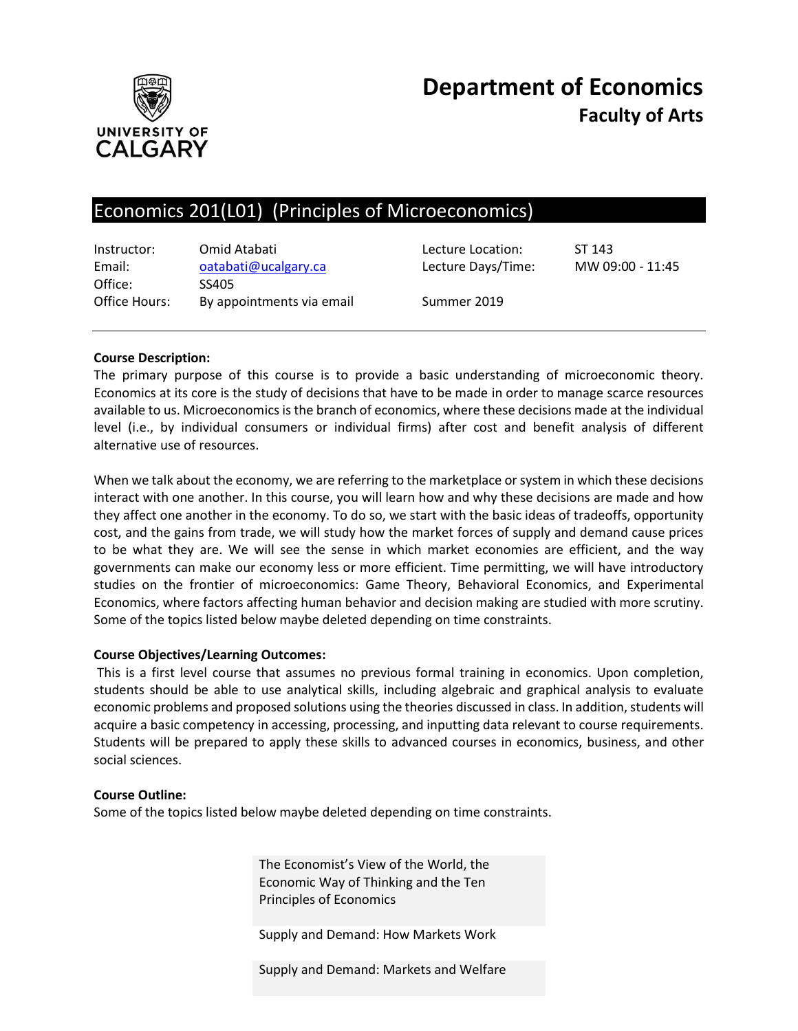

# **Department of Economics Faculty of Arts**

# Economics 201(L01) (Principles of Microeconomics)

| Instructor:<br>Email: | Omid Atabati<br>oatabati@ucalgary.ca | Lecture Location:<br>Lecture Days/Time: | ST 143<br>MW 09:00 - 11:45 |
|-----------------------|--------------------------------------|-----------------------------------------|----------------------------|
| Office:               | SS405                                |                                         |                            |
| Office Hours:         | By appointments via email            | Summer 2019                             |                            |

#### **Course Description:**

The primary purpose of this course is to provide a basic understanding of microeconomic theory. Economics at its core is the study of decisions that have to be made in order to manage scarce resources available to us. Microeconomics is the branch of economics, where these decisions made at the individual level (i.e., by individual consumers or individual firms) after cost and benefit analysis of different alternative use of resources.

When we talk about the economy, we are referring to the marketplace or system in which these decisions interact with one another. In this course, you will learn how and why these decisions are made and how they affect one another in the economy. To do so, we start with the basic ideas of tradeoffs, opportunity cost, and the gains from trade, we will study how the market forces of supply and demand cause prices to be what they are. We will see the sense in which market economies are efficient, and the way governments can make our economy less or more efficient. Time permitting, we will have introductory studies on the frontier of microeconomics: Game Theory, Behavioral Economics, and Experimental Economics, where factors affecting human behavior and decision making are studied with more scrutiny. Some of the topics listed below maybe deleted depending on time constraints.

#### **Course Objectives/Learning Outcomes:**

This is a first level course that assumes no previous formal training in economics. Upon completion, students should be able to use analytical skills, including algebraic and graphical analysis to evaluate economic problems and proposed solutions using the theories discussed in class. In addition, students will acquire a basic competency in accessing, processing, and inputting data relevant to course requirements. Students will be prepared to apply these skills to advanced courses in economics, business, and other social sciences.

#### **Course Outline:**

Some of the topics listed below maybe deleted depending on time constraints.

The Economist's View of the World, the Economic Way of Thinking and the Ten Principles of Economics

Supply and Demand: How Markets Work

Supply and Demand: Markets and Welfare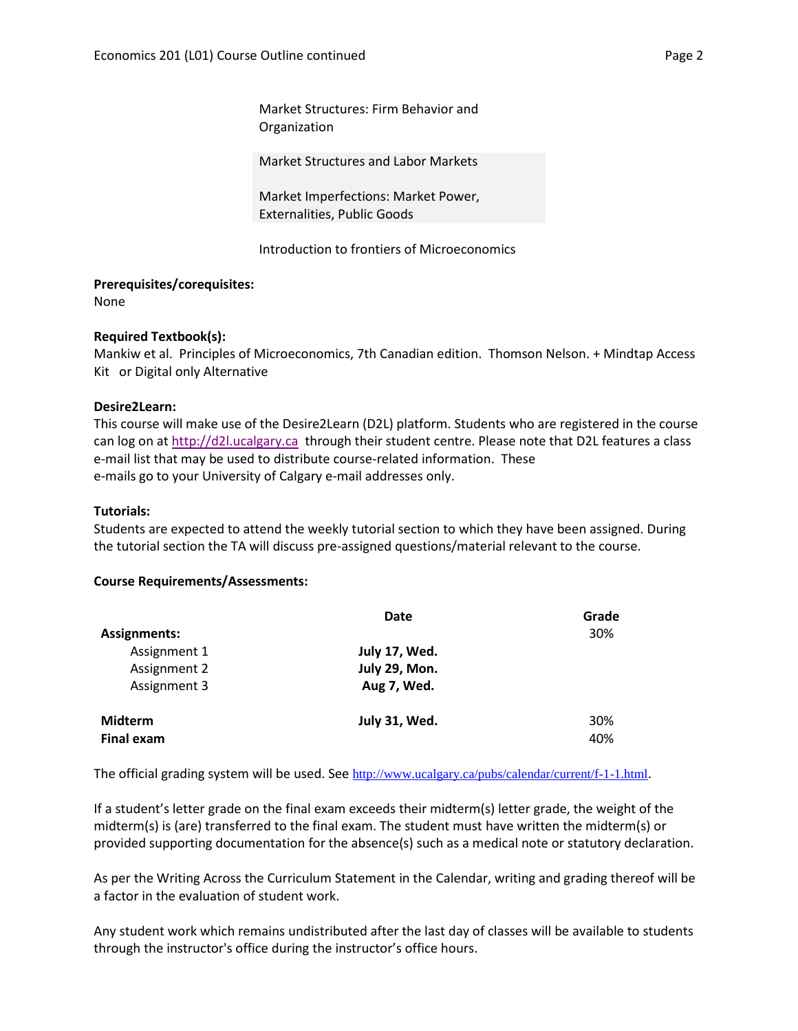Market Structures: Firm Behavior and Organization

Market Structures and Labor Markets

Market Imperfections: Market Power, Externalities, Public Goods

Introduction to frontiers of Microeconomics

#### **Prerequisites/corequisites:**

None

#### **Required Textbook(s):**

Mankiw et al. Principles of Microeconomics, 7th Canadian edition. Thomson Nelson. + Mindtap Access Kit or Digital only Alternative

#### **Desire2Learn:**

This course will make use of the Desire2Learn (D2L) platform. Students who are registered in the course can log on a[t http://d2l.ucalgary.ca](http://d2l.ucalgary.ca/) through their student centre. Please note that D2L features a class e-mail list that may be used to distribute course-related information. These e-mails go to your University of Calgary e-mail addresses only.

#### **Tutorials:**

Students are expected to attend the weekly tutorial section to which they have been assigned. During the tutorial section the TA will discuss pre-assigned questions/material relevant to the course.

#### **Course Requirements/Assessments:**

|                                     | Date          | Grade      |
|-------------------------------------|---------------|------------|
| <b>Assignments:</b>                 |               | 30%        |
| Assignment 1                        | July 17, Wed. |            |
| Assignment 2                        | July 29, Mon. |            |
| Assignment 3                        | Aug 7, Wed.   |            |
| <b>Midterm</b><br><b>Final exam</b> | July 31, Wed. | 30%<br>40% |

The official grading system will be used. See <http://www.ucalgary.ca/pubs/calendar/current/f-1-1.html>.

If a student's letter grade on the final exam exceeds their midterm(s) letter grade, the weight of the midterm(s) is (are) transferred to the final exam. The student must have written the midterm(s) or provided supporting documentation for the absence(s) such as a medical note or statutory declaration.

As per the Writing Across the Curriculum Statement in the Calendar, writing and grading thereof will be a factor in the evaluation of student work.

Any student work which remains undistributed after the last day of classes will be available to students through the instructor's office during the instructor's office hours.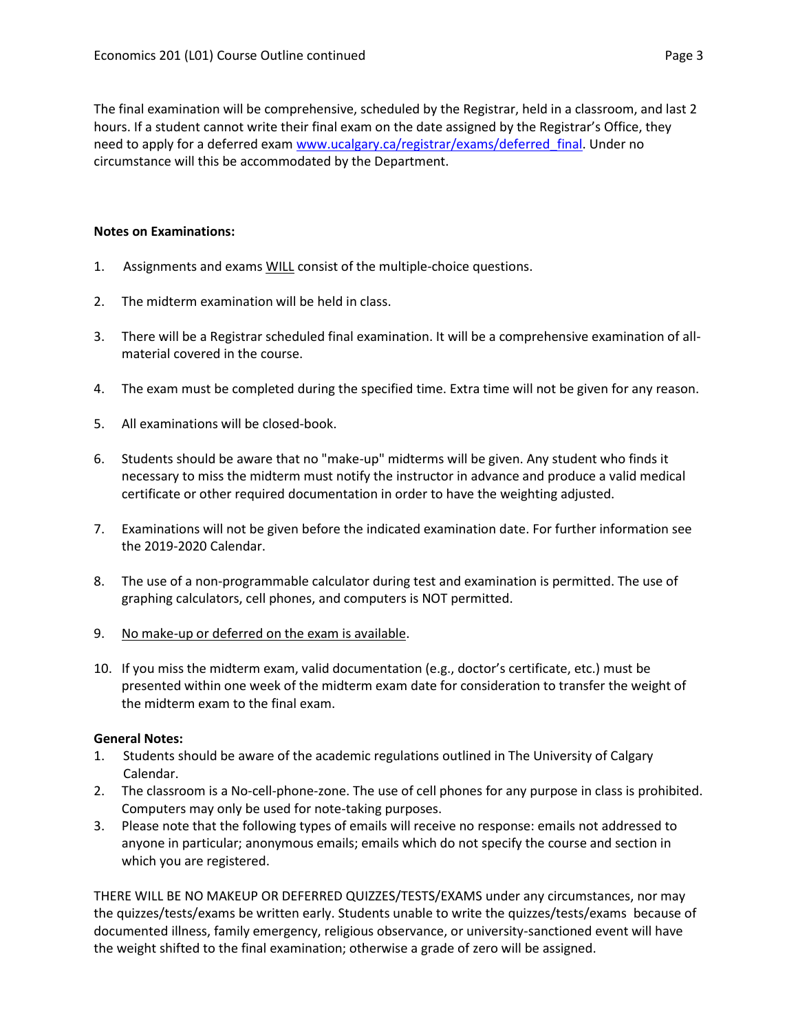The final examination will be comprehensive, scheduled by the Registrar, held in a classroom, and last 2 hours. If a student cannot write their final exam on the date assigned by the Registrar's Office, they need to apply for a deferred exam [www.ucalgary.ca/registrar/exams/deferred\\_final.](http://www.ucalgary.ca/registrar/exams/deferred_final) Under no circumstance will this be accommodated by the Department.

### **Notes on Examinations:**

- 1. Assignments and exams WILL consist of the multiple-choice questions.
- 2. The midterm examination will be held in class.
- 3. There will be a Registrar scheduled final examination. It will be a comprehensive examination of allmaterial covered in the course.
- 4. The exam must be completed during the specified time. Extra time will not be given for any reason.
- 5. All examinations will be closed-book.
- 6. Students should be aware that no "make-up" midterms will be given. Any student who finds it necessary to miss the midterm must notify the instructor in advance and produce a valid medical certificate or other required documentation in order to have the weighting adjusted.
- 7. Examinations will not be given before the indicated examination date. For further information see the 2019-2020 Calendar.
- 8. The use of a non-programmable calculator during test and examination is permitted. The use of graphing calculators, cell phones, and computers is NOT permitted.
- 9. No make-up or deferred on the exam is available.
- 10. If you miss the midterm exam, valid documentation (e.g., doctor's certificate, etc.) must be presented within one week of the midterm exam date for consideration to transfer the weight of the midterm exam to the final exam.

#### **General Notes:**

- 1. Students should be aware of the academic regulations outlined in The University of Calgary Calendar.
- 2. The classroom is a No-cell-phone-zone. The use of cell phones for any purpose in class is prohibited. Computers may only be used for note-taking purposes.
- 3. Please note that the following types of emails will receive no response: emails not addressed to anyone in particular; anonymous emails; emails which do not specify the course and section in which you are registered.

THERE WILL BE NO MAKEUP OR DEFERRED QUIZZES/TESTS/EXAMS under any circumstances, nor may the quizzes/tests/exams be written early. Students unable to write the quizzes/tests/exams because of documented illness, family emergency, religious observance, or university-sanctioned event will have the weight shifted to the final examination; otherwise a grade of zero will be assigned.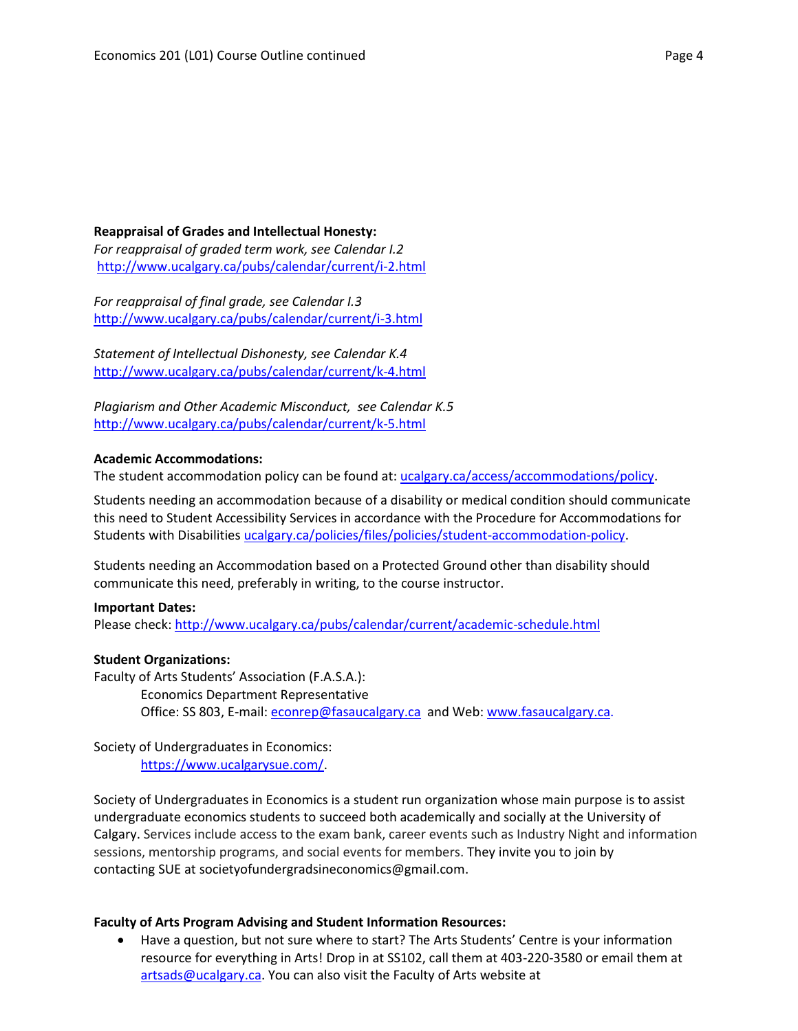### **Reappraisal of Grades and Intellectual Honesty:**

*For reappraisal of graded term work, see Calendar I.2* <http://www.ucalgary.ca/pubs/calendar/current/i-2.html>

*For reappraisal of final grade, see Calendar I.3* <http://www.ucalgary.ca/pubs/calendar/current/i-3.html>

*Statement of Intellectual Dishonesty, see Calendar K.4* <http://www.ucalgary.ca/pubs/calendar/current/k-4.html>

*Plagiarism and Other Academic Misconduct, see Calendar K.5* <http://www.ucalgary.ca/pubs/calendar/current/k-5.html>

#### **Academic Accommodations:**

The student accommodation policy can be found at: [ucalgary.ca/access/accommodations/policy.](http://www.ucalgary.ca/access/accommodations/policy)

Students needing an accommodation because of a disability or medical condition should communicate this need to Student Accessibility Services in accordance with the Procedure for Accommodations for Students with Disabilities [ucalgary.ca/policies/files/policies/student-accommodation-policy.](http://www.ucalgary.ca/policies/files/policies/student-accommodation-policy.pdf)

Students needing an Accommodation based on a Protected Ground other than disability should communicate this need, preferably in writing, to the course instructor.

#### **Important Dates:**

Please check:<http://www.ucalgary.ca/pubs/calendar/current/academic-schedule.html>

#### **Student Organizations:**

Faculty of Arts Students' Association (F.A.S.A.): Economics Department Representative Office: SS 803, E-mail: [econrep@fasaucalgary.ca](mailto:econrep@fasaucalgary.ca) and Web[: www.fasaucalgary.ca.](http://www.fasaucalgary.ca/)

Society of Undergraduates in Economics: [https://www.ucalgarysue.com/.](https://www.ucalgarysue.com/)

Society of Undergraduates in Economics is a student run organization whose main purpose is to assist undergraduate economics students to succeed both academically and socially at the University of Calgary. Services include access to the exam bank, career events such as Industry Night and information sessions, mentorship programs, and social events for members. They invite you to join by contacting SUE at societyofundergradsineconomics@gmail.com.

#### **Faculty of Arts Program Advising and Student Information Resources:**

 Have a question, but not sure where to start? The Arts Students' Centre is your information resource for everything in Arts! Drop in at SS102, call them at 403-220-3580 or email them at [artsads@ucalgary.ca.](mailto:artsads@ucalgary.ca) You can also visit the Faculty of Arts website at